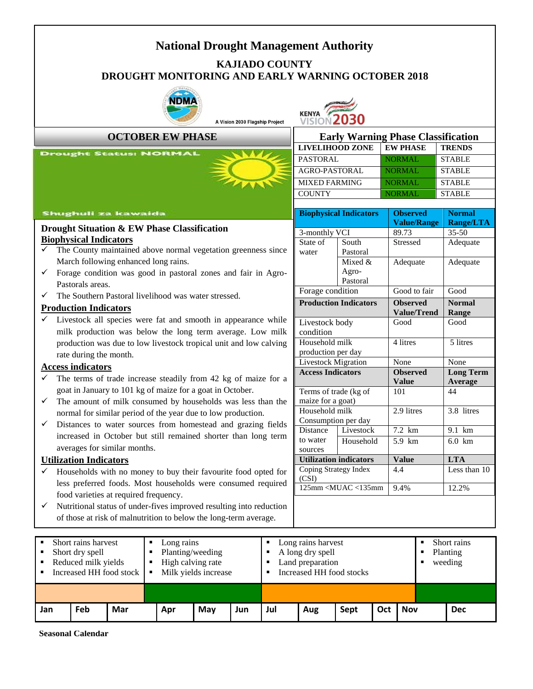## **National Drought Management Authority KAJIADO COUNTY DROUGHT MONITORING AND EARLY WARNING OCTOBER 2018**



A Vision 2030 Flagship Project



#### **OCTOBER EW PHASE**

# **Early Warning Phase Classification**

| -----                  |                 |               |  |  |  |  |  |  |
|------------------------|-----------------|---------------|--|--|--|--|--|--|
| <b>LIVELIHOOD ZONE</b> | <b>EW PHASE</b> | <b>TRENDS</b> |  |  |  |  |  |  |
| <b>PASTORAL</b>        | <b>NORMAL</b>   | <b>STABLE</b> |  |  |  |  |  |  |
| <b>AGRO-PASTORAL</b>   | <b>NORMAL</b>   | <b>STABLE</b> |  |  |  |  |  |  |
| <b>MIXED FARMING</b>   | <b>NORMAL</b>   | <b>STABLE</b> |  |  |  |  |  |  |
| <b>COUNTY</b>          | <b>NORMAL</b>   | <b>STABLE</b> |  |  |  |  |  |  |
|                        |                 |               |  |  |  |  |  |  |
|                        |                 |               |  |  |  |  |  |  |

## **Shughuli za kawaida**

#### **Drought Situation & EW Phase Classification Biophysical Indicators**

- The County maintained above normal vegetation greenness since March following enhanced long rains.
- Forage condition was good in pastoral zones and fair in Agro-Pastorals areas.
- $\checkmark$  The Southern Pastoral livelihood was water stressed.

#### **Production Indicators**

 Livestock all species were fat and smooth in appearance while milk production was below the long term average. Low milk production was due to low livestock tropical unit and low calving rate during the month.

#### **Access indicators**

- The terms of trade increase steadily from 42 kg of maize for a goat in January to 101 kg of maize for a goat in October.
- The amount of milk consumed by households was less than the normal for similar period of the year due to low production.
- $\checkmark$  Distances to water sources from homestead and grazing fields increased in October but still remained shorter than long term averages for similar months.

#### **Utilization Indicators**

- $\checkmark$  Households with no money to buy their favourite food opted for less preferred foods. Most households were consumed required food varieties at required frequency.
- $\checkmark$  Nutritional status of under-fives improved resulting into reduction of those at risk of malnutrition to below the long-term average.

| <b>MIXED FARMING</b>                                                        |                       |  | <b>NORMAL</b>       | <b>STABLE</b>    |                  |  |  |  |
|-----------------------------------------------------------------------------|-----------------------|--|---------------------|------------------|------------------|--|--|--|
| <b>COUNTY</b>                                                               |                       |  | <b>NORMAL</b>       |                  | <b>STABLE</b>    |  |  |  |
|                                                                             |                       |  |                     |                  |                  |  |  |  |
| <b>Biophysical Indicators</b>                                               |                       |  | <b>Observed</b>     | <b>Normal</b>    |                  |  |  |  |
|                                                                             |                       |  | <b>Value/Range</b>  |                  | <b>Range/LTA</b> |  |  |  |
|                                                                             | 3-monthly VCI         |  | 89.73               |                  | $35 - 50$        |  |  |  |
| State of                                                                    | South                 |  | <b>Stressed</b>     |                  | Adequate         |  |  |  |
| water                                                                       | Pastoral              |  |                     |                  |                  |  |  |  |
|                                                                             | Mixed &               |  | Adequate            |                  | Adequate         |  |  |  |
|                                                                             | Agro-                 |  |                     |                  |                  |  |  |  |
|                                                                             | Pastoral              |  | Good to fair        |                  |                  |  |  |  |
|                                                                             | Forage condition      |  |                     |                  | Good             |  |  |  |
| <b>Production Indicators</b>                                                |                       |  | <b>Observed</b>     |                  | Normal           |  |  |  |
|                                                                             |                       |  | <b>Value/Trend</b>  | Range            |                  |  |  |  |
| Livestock body                                                              |                       |  | Good                |                  | Good             |  |  |  |
| condition                                                                   |                       |  |                     |                  |                  |  |  |  |
| Household milk                                                              |                       |  | 4 litres            |                  | 5 litres         |  |  |  |
|                                                                             | production per day    |  |                     |                  |                  |  |  |  |
| Livestock Migration                                                         |                       |  | None                |                  | None             |  |  |  |
| <b>Access Indicators</b>                                                    |                       |  | <b>Observed</b>     |                  | <b>Long Term</b> |  |  |  |
|                                                                             |                       |  | <b>Value</b><br>101 | Average          |                  |  |  |  |
|                                                                             | Terms of trade (kg of |  |                     | 44               |                  |  |  |  |
|                                                                             | maize for a goat)     |  |                     |                  |                  |  |  |  |
| Household milk                                                              |                       |  | 2.9 litres          |                  | 3.8 litres       |  |  |  |
| Consumption per day                                                         |                       |  |                     |                  |                  |  |  |  |
| <b>Distance</b>                                                             | Livestock             |  | 7.2 km              | $9.1 \text{ km}$ |                  |  |  |  |
| to water                                                                    | Household             |  | 5.9 km              | $6.0 \text{ km}$ |                  |  |  |  |
| sources                                                                     |                       |  |                     |                  |                  |  |  |  |
| <b>Utilization indicators</b>                                               |                       |  | Value               |                  | <b>LTA</b>       |  |  |  |
| Coping Strategy Index                                                       |                       |  | 4.4                 |                  | Less than 10     |  |  |  |
| (CSI)<br>$125$ mm <muac <135mm<="" td=""><td></td><td></td><td></td></muac> |                       |  |                     |                  |                  |  |  |  |
|                                                                             |                       |  | 9.4%                | 12.2%            |                  |  |  |  |

| Short rains harvest<br>Short dry spell<br>Reduced milk yields<br>Increased HH food stock   $\blacksquare$ |            |     | Long rains<br>Planting/weeding<br>High calving rate<br>Milk yields increase |     |     | Long rains harvest<br>A long dry spell<br>Land preparation<br>Increased HH food stocks |     |      | Short rains<br>Planting<br>weeding |            |  |            |
|-----------------------------------------------------------------------------------------------------------|------------|-----|-----------------------------------------------------------------------------|-----|-----|----------------------------------------------------------------------------------------|-----|------|------------------------------------|------------|--|------------|
|                                                                                                           |            |     |                                                                             |     |     |                                                                                        |     |      |                                    |            |  |            |
| Jan                                                                                                       | <b>Feb</b> | Mar | Apr                                                                         | May | Jun | Jul                                                                                    | Aug | Sept | Oct                                | <b>Nov</b> |  | <b>Dec</b> |

**Seasonal Calendar**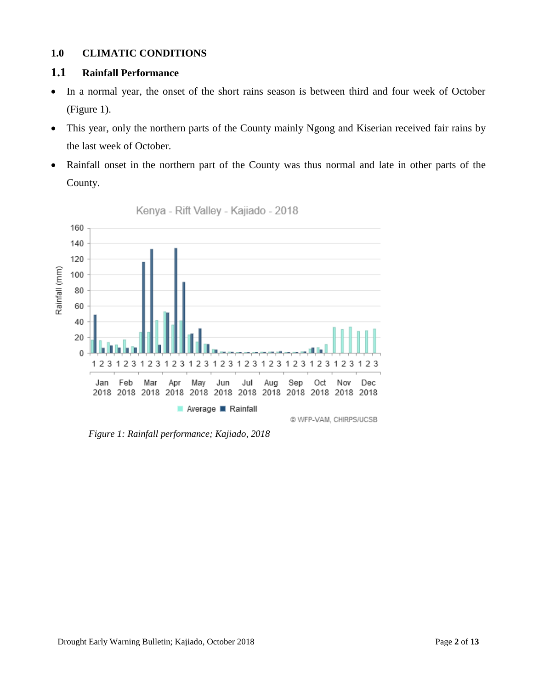## **1.0 CLIMATIC CONDITIONS**

## **1.1 Rainfall Performance**

- In a normal year, the onset of the short rains season is between third and four week of October (Figure 1).
- This year, only the northern parts of the County mainly Ngong and Kiserian received fair rains by the last week of October.
- Rainfall onset in the northern part of the County was thus normal and late in other parts of the County.



Kenya - Rift Valley - Kajiado - 2018

*Figure 1: Rainfall performance; Kajiado, 2018*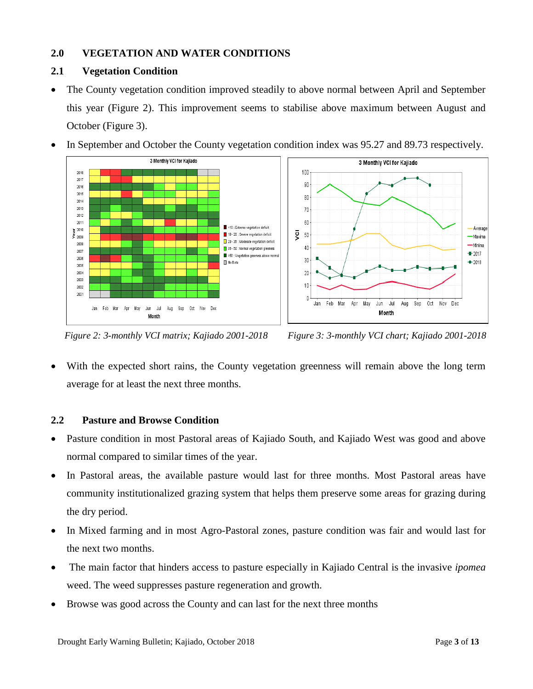## **2.0 VEGETATION AND WATER CONDITIONS**

## **2.1 Vegetation Condition**

• The County vegetation condition improved steadily to above normal between April and September this year (Figure 2). This improvement seems to stabilise above maximum between August and October (Figure 3).







*Figure 2: 3-monthly VCI matrix; Kajiado 2001-2018 Figure 3: 3-monthly VCI chart; Kajiado 2001-2018*

 With the expected short rains, the County vegetation greenness will remain above the long term average for at least the next three months.

## **2.2 Pasture and Browse Condition**

- Pasture condition in most Pastoral areas of Kajiado South, and Kajiado West was good and above normal compared to similar times of the year.
- In Pastoral areas, the available pasture would last for three months. Most Pastoral areas have community institutionalized grazing system that helps them preserve some areas for grazing during the dry period.
- In Mixed farming and in most Agro-Pastoral zones, pasture condition was fair and would last for the next two months.
- The main factor that hinders access to pasture especially in Kajiado Central is the invasive *ipomea* weed. The weed suppresses pasture regeneration and growth.
- Browse was good across the County and can last for the next three months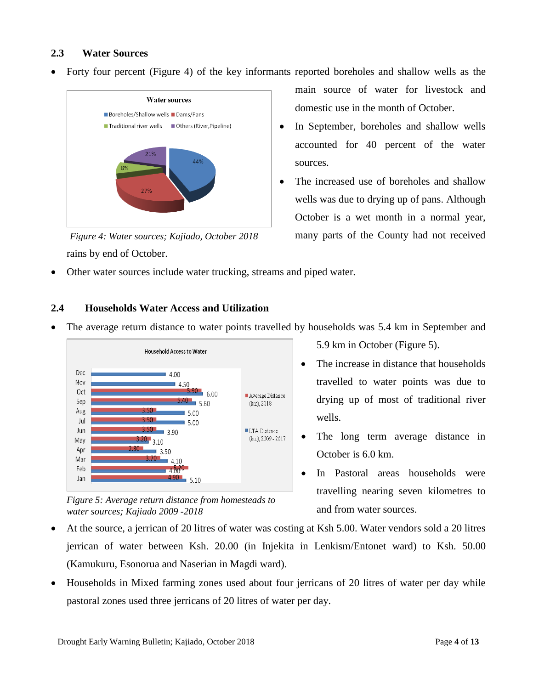## **2.3 Water Sources**

Forty four percent (Figure 4) of the key informants reported boreholes and shallow wells as the



rains by end of October. *Figure 4: Water sources; Kajiado, October 2018*

main source of water for livestock and domestic use in the month of October.

- In September, boreholes and shallow wells accounted for 40 percent of the water sources.
- The increased use of boreholes and shallow wells was due to drying up of pans. Although October is a wet month in a normal year, many parts of the County had not received
- Other water sources include water trucking, streams and piped water.

## **2.4 Households Water Access and Utilization**

• The average return distance to water points travelled by households was 5.4 km in September and



*Figure 5: Average return distance from homesteads to water sources; Kajiado 2009 -2018*

5.9 km in October (Figure 5).

- The increase in distance that households travelled to water points was due to drying up of most of traditional river wells.
- The long term average distance in October is 6.0 km.
- In Pastoral areas households were travelling nearing seven kilometres to and from water sources.
- At the source, a jerrican of 20 litres of water was costing at Ksh 5.00. Water vendors sold a 20 litres jerrican of water between Ksh. 20.00 (in Injekita in Lenkism/Entonet ward) to Ksh. 50.00 (Kamukuru, Esonorua and Naserian in Magdi ward).
- Households in Mixed farming zones used about four jerricans of 20 litres of water per day while pastoral zones used three jerricans of 20 litres of water per day.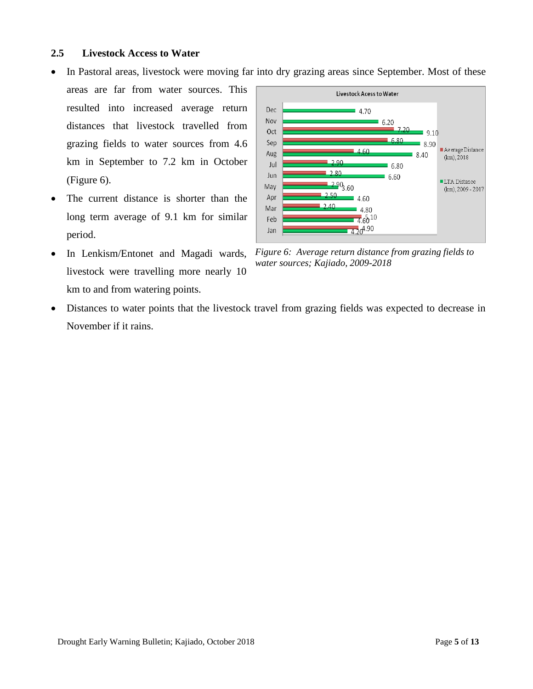#### **2.5 Livestock Access to Water**

- In Pastoral areas, livestock were moving far into dry grazing areas since September. Most of these
- areas are far from water sources. This resulted into increased average return distances that livestock travelled from grazing fields to water sources from 4.6 km in September to 7.2 km in October (Figure 6).
- The current distance is shorter than the long term average of 9.1 km for similar period.
- In Lenkism/Entonet and Magadi wards, livestock were travelling more nearly 10 km to and from watering points.



*Figure 6: Average return distance from grazing fields to water sources; Kajiado, 2009-2018*

 Distances to water points that the livestock travel from grazing fields was expected to decrease in November if it rains.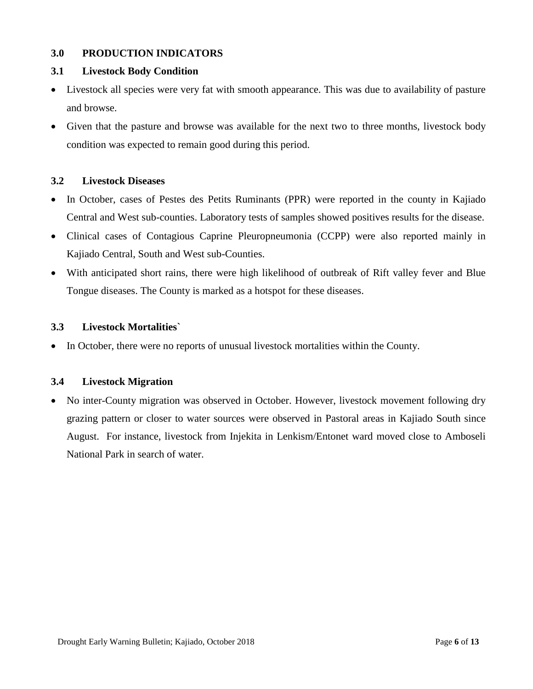## **3.0 PRODUCTION INDICATORS**

## **3.1 Livestock Body Condition**

- Livestock all species were very fat with smooth appearance. This was due to availability of pasture and browse.
- Given that the pasture and browse was available for the next two to three months, livestock body condition was expected to remain good during this period.

## **3.2 Livestock Diseases**

- In October, cases of Pestes des Petits Ruminants (PPR) were reported in the county in Kajiado Central and West sub-counties. Laboratory tests of samples showed positives results for the disease.
- Clinical cases of Contagious Caprine Pleuropneumonia (CCPP) were also reported mainly in Kajiado Central, South and West sub-Counties.
- With anticipated short rains, there were high likelihood of outbreak of Rift valley fever and Blue Tongue diseases. The County is marked as a hotspot for these diseases.

## **3.3 Livestock Mortalities`**

• In October, there were no reports of unusual livestock mortalities within the County.

## **3.4 Livestock Migration**

• No inter-County migration was observed in October. However, livestock movement following dry grazing pattern or closer to water sources were observed in Pastoral areas in Kajiado South since August. For instance, livestock from Injekita in Lenkism/Entonet ward moved close to Amboseli National Park in search of water.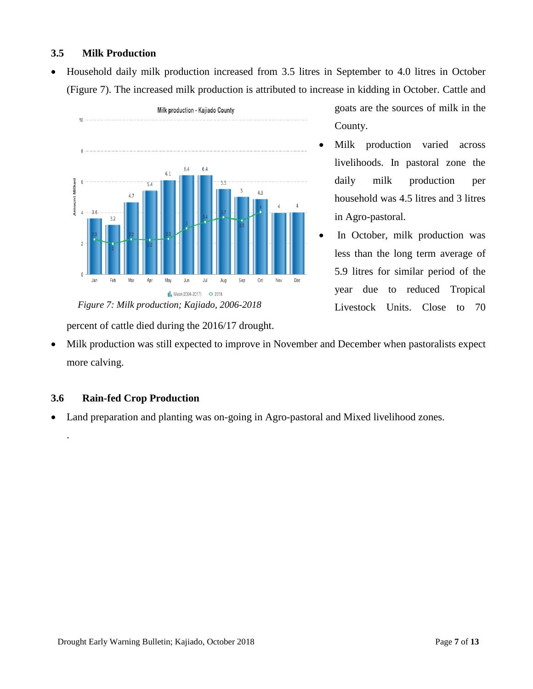## **3.5 Milk Production**

 Household daily milk production increased from 3.5 litres in September to 4.0 litres in October (Figure 7). The increased milk production is attributed to increase in kidding in October. Cattle and



goats are the sources of milk in the County.

- Milk production varied across livelihoods. In pastoral zone the daily milk production per household was 4.5 litres and 3 litres in Agro-pastoral.
- In October, milk production was less than the long term average of 5.9 litres for similar period of the year due to reduced Tropical Livestock Units. Close to 70

percent of cattle died during the 2016/17 drought.

 Milk production was still expected to improve in November and December when pastoralists expect more calving.

## **3.6 Rain-fed Crop Production**

.

Land preparation and planting was on-going in Agro-pastoral and Mixed livelihood zones.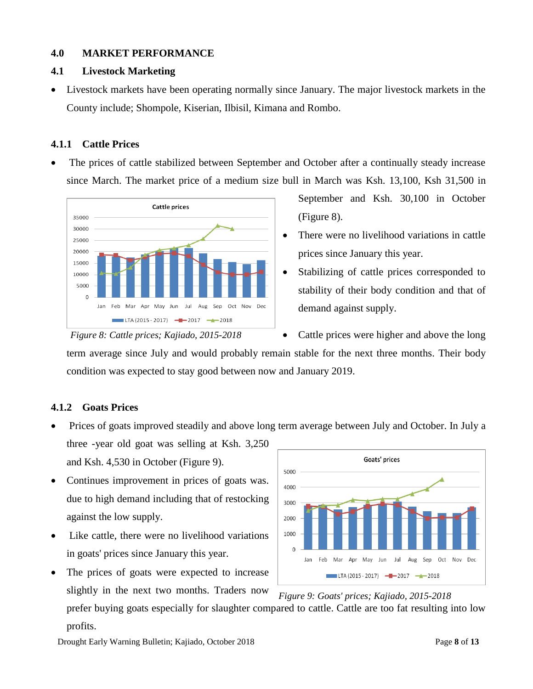## **4.0 MARKET PERFORMANCE**

## **4.1 Livestock Marketing**

 Livestock markets have been operating normally since January. The major livestock markets in the County include; Shompole, Kiserian, Ilbisil, Kimana and Rombo.

## **4.1.1 Cattle Prices**

 The prices of cattle stabilized between September and October after a continually steady increase since March. The market price of a medium size bull in March was Ksh. 13,100, Ksh 31,500 in



September and Ksh. 30,100 in October (Figure 8).

- There were no livelihood variations in cattle prices since January this year.
- Stabilizing of cattle prices corresponded to stability of their body condition and that of demand against supply.

 Cattle prices were higher and above the long term average since July and would probably remain stable for the next three months. Their body condition was expected to stay good between now and January 2019.

## **4.1.2 Goats Prices**

Prices of goats improved steadily and above long term average between July and October. In July a

three -year old goat was selling at Ksh. 3,250 and Ksh. 4,530 in October (Figure 9).

- Continues improvement in prices of goats was. due to high demand including that of restocking against the low supply.
- Like cattle, there were no livelihood variations in goats' prices since January this year.
- The prices of goats were expected to increase slightly in the next two months. Traders now prefer buying goats especially for slaughter compared to cattle. Cattle are too fat resulting into low



*Figure 9: Goats' prices; Kajiado, 2015-2018*

profits.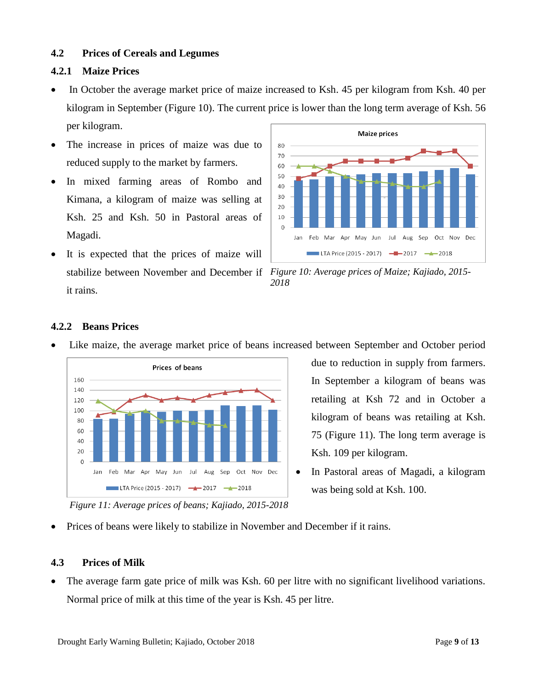## **4.2 Prices of Cereals and Legumes**

## **4.2.1 Maize Prices**

- In October the average market price of maize increased to Ksh. 45 per kilogram from Ksh. 40 per kilogram in September (Figure 10). The current price is lower than the long term average of Ksh. 56 per kilogram.
- The increase in prices of maize was due to reduced supply to the market by farmers.
- In mixed farming areas of Rombo and Kimana, a kilogram of maize was selling at Ksh. 25 and Ksh. 50 in Pastoral areas of Magadi.
- It is expected that the prices of maize will it rains.



stabilize between November and December if *Figure 10: Average prices of Maize; Kajiado, 2015- 2018*

## **4.2.2 Beans Prices**





due to reduction in supply from farmers. In September a kilogram of beans was retailing at Ksh 72 and in October a kilogram of beans was retailing at Ksh. 75 (Figure 11). The long term average is Ksh. 109 per kilogram.

• In Pastoral areas of Magadi, a kilogram was being sold at Ksh. 100.

*Figure 11: Average prices of beans; Kajiado, 2015-2018*

Prices of beans were likely to stabilize in November and December if it rains.

## **4.3 Prices of Milk**

 The average farm gate price of milk was Ksh. 60 per litre with no significant livelihood variations. Normal price of milk at this time of the year is Ksh. 45 per litre.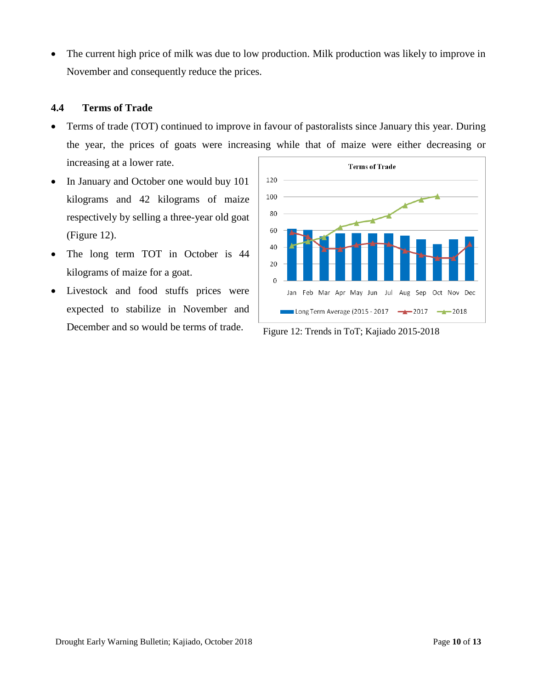The current high price of milk was due to low production. Milk production was likely to improve in November and consequently reduce the prices.

#### **4.4 Terms of Trade**

- Terms of trade (TOT) continued to improve in favour of pastoralists since January this year. During the year, the prices of goats were increasing while that of maize were either decreasing or increasing at a lower rate.
- In January and October one would buy 101 kilograms and 42 kilograms of maize respectively by selling a three-year old goat (Figure 12).
- The long term TOT in October is 44 kilograms of maize for a goat.
- Livestock and food stuffs prices were expected to stabilize in November and December and so would be terms of trade. Figure 12: Trends in ToT; Kajiado 2015-2018

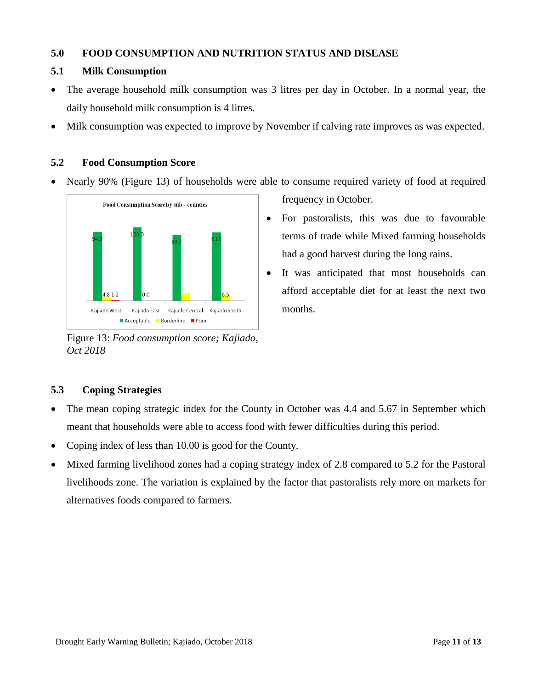## **5.0 FOOD CONSUMPTION AND NUTRITION STATUS AND DISEASE**

## **5.1 Milk Consumption**

- The average household milk consumption was 3 litres per day in October. In a normal year, the daily household milk consumption is 4 litres.
- Milk consumption was expected to improve by November if calving rate improves as was expected.

## **5.2 Food Consumption Score**

Nearly 90% (Figure 13) of households were able to consume required variety of food at required



Figure 13: *Food consumption score; Kajiado, Oct 2018*

frequency in October.

- For pastoralists, this was due to favourable terms of trade while Mixed farming households had a good harvest during the long rains.
- It was anticipated that most households can afford acceptable diet for at least the next two months.

## **5.3 Coping Strategies**

- The mean coping strategic index for the County in October was 4.4 and 5.67 in September which meant that households were able to access food with fewer difficulties during this period.
- Coping index of less than 10.00 is good for the County.
- Mixed farming livelihood zones had a coping strategy index of 2.8 compared to 5.2 for the Pastoral livelihoods zone. The variation is explained by the factor that pastoralists rely more on markets for alternatives foods compared to farmers.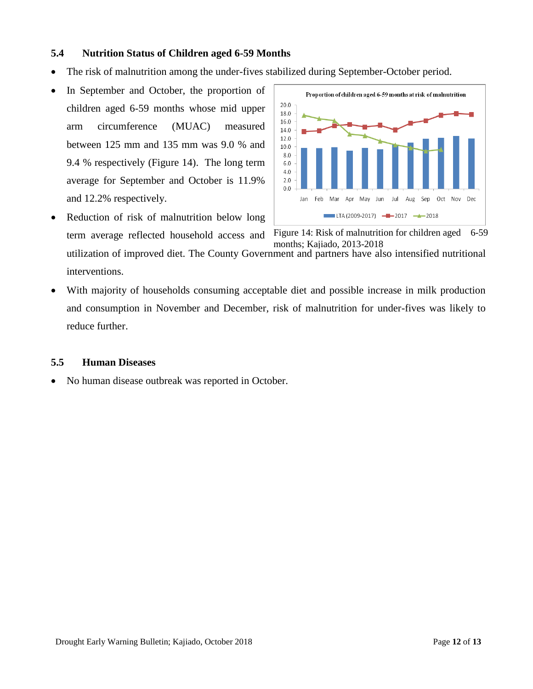## **5.4 Nutrition Status of Children aged 6-59 Months**

- The risk of malnutrition among the under-fives stabilized during September-October period.
- In September and October, the proportion of children aged 6-59 months whose mid upper arm circumference (MUAC) measured between 125 mm and 135 mm was 9.0 % and 9.4 % respectively (Figure 14). The long term average for September and October is 11.9% and 12.2% respectively.
- Reduction of risk of malnutrition below long term average reflected household access and interventions.



Figure 14: Risk of malnutrition for children aged 6-59 months; Kajiado, 2013-2018

utilization of improved diet. The County Government and partners have also intensified nutritional

 With majority of households consuming acceptable diet and possible increase in milk production and consumption in November and December, risk of malnutrition for under-fives was likely to reduce further.

#### **5.5 Human Diseases**

• No human disease outbreak was reported in October.